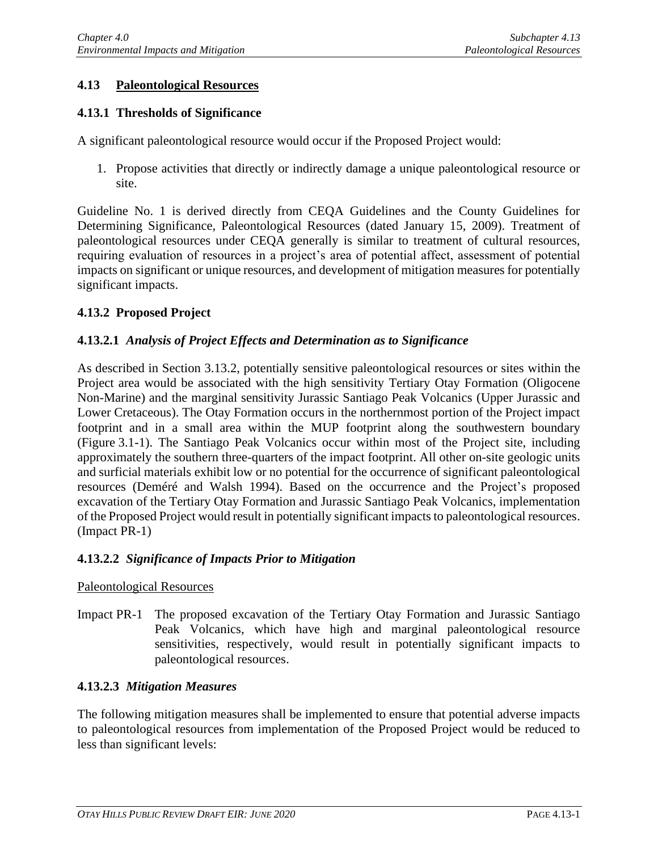# **4.13 Paleontological Resources**

# **4.13.1 Thresholds of Significance**

A significant paleontological resource would occur if the Proposed Project would:

1. Propose activities that directly or indirectly damage a unique paleontological resource or site.

Guideline No. 1 is derived directly from CEQA Guidelines and the County Guidelines for Determining Significance, Paleontological Resources (dated January 15, 2009). Treatment of paleontological resources under CEQA generally is similar to treatment of cultural resources, requiring evaluation of resources in a project's area of potential affect, assessment of potential impacts on significant or unique resources, and development of mitigation measures for potentially significant impacts.

## **4.13.2 Proposed Project**

## **4.13.2.1** *Analysis of Project Effects and Determination as to Significance*

As described in Section 3.13.2, potentially sensitive paleontological resources or sites within the Project area would be associated with the high sensitivity Tertiary Otay Formation (Oligocene Non-Marine) and the marginal sensitivity Jurassic Santiago Peak Volcanics (Upper Jurassic and Lower Cretaceous). The Otay Formation occurs in the northernmost portion of the Project impact footprint and in a small area within the MUP footprint along the southwestern boundary (Figure 3.1-1). The Santiago Peak Volcanics occur within most of the Project site, including approximately the southern three-quarters of the impact footprint. All other on-site geologic units and surficial materials exhibit low or no potential for the occurrence of significant paleontological resources (Deméré and Walsh 1994). Based on the occurrence and the Project's proposed excavation of the Tertiary Otay Formation and Jurassic Santiago Peak Volcanics, implementation of the Proposed Project would result in potentially significant impacts to paleontological resources. (Impact PR-1)

## **4.13.2.2** *Significance of Impacts Prior to Mitigation*

#### Paleontological Resources

Impact PR-1 The proposed excavation of the Tertiary Otay Formation and Jurassic Santiago Peak Volcanics, which have high and marginal paleontological resource sensitivities, respectively, would result in potentially significant impacts to paleontological resources.

## **4.13.2.3** *Mitigation Measures*

The following mitigation measures shall be implemented to ensure that potential adverse impacts to paleontological resources from implementation of the Proposed Project would be reduced to less than significant levels: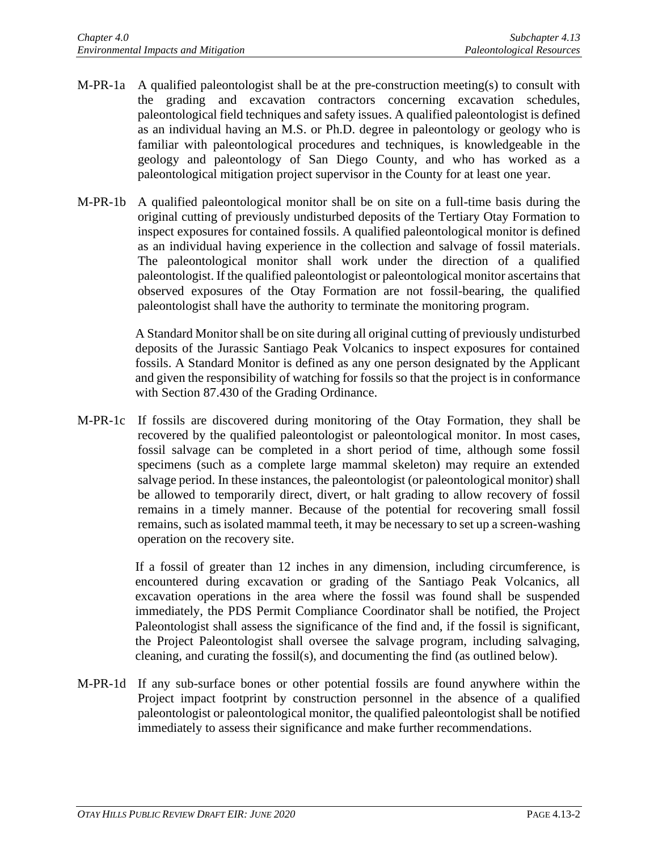- M-PR-1a A qualified paleontologist shall be at the pre-construction meeting(s) to consult with the grading and excavation contractors concerning excavation schedules, paleontological field techniques and safety issues. A qualified paleontologist is defined as an individual having an M.S. or Ph.D. degree in paleontology or geology who is familiar with paleontological procedures and techniques, is knowledgeable in the geology and paleontology of San Diego County, and who has worked as a paleontological mitigation project supervisor in the County for at least one year.
- M-PR-1b A qualified paleontological monitor shall be on site on a full-time basis during the original cutting of previously undisturbed deposits of the Tertiary Otay Formation to inspect exposures for contained fossils. A qualified paleontological monitor is defined as an individual having experience in the collection and salvage of fossil materials. The paleontological monitor shall work under the direction of a qualified paleontologist. If the qualified paleontologist or paleontological monitor ascertains that observed exposures of the Otay Formation are not fossil-bearing, the qualified paleontologist shall have the authority to terminate the monitoring program.

A Standard Monitor shall be on site during all original cutting of previously undisturbed deposits of the Jurassic Santiago Peak Volcanics to inspect exposures for contained fossils. A Standard Monitor is defined as any one person designated by the Applicant and given the responsibility of watching for fossils so that the project is in conformance with Section 87.430 of the Grading Ordinance.

M-PR-1c If fossils are discovered during monitoring of the Otay Formation, they shall be recovered by the qualified paleontologist or paleontological monitor. In most cases, fossil salvage can be completed in a short period of time, although some fossil specimens (such as a complete large mammal skeleton) may require an extended salvage period. In these instances, the paleontologist (or paleontological monitor) shall be allowed to temporarily direct, divert, or halt grading to allow recovery of fossil remains in a timely manner. Because of the potential for recovering small fossil remains, such as isolated mammal teeth, it may be necessary to set up a screen-washing operation on the recovery site.

> If a fossil of greater than 12 inches in any dimension, including circumference, is encountered during excavation or grading of the Santiago Peak Volcanics, all excavation operations in the area where the fossil was found shall be suspended immediately, the PDS Permit Compliance Coordinator shall be notified, the Project Paleontologist shall assess the significance of the find and, if the fossil is significant, the Project Paleontologist shall oversee the salvage program, including salvaging, cleaning, and curating the fossil(s), and documenting the find (as outlined below).

M-PR-1d If any sub-surface bones or other potential fossils are found anywhere within the Project impact footprint by construction personnel in the absence of a qualified paleontologist or paleontological monitor, the qualified paleontologist shall be notified immediately to assess their significance and make further recommendations.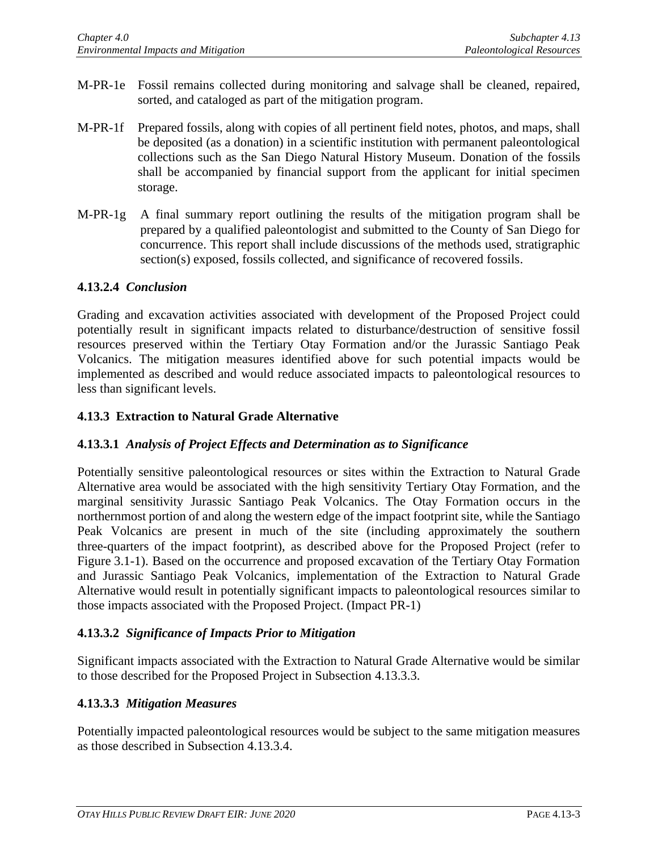- M-PR-1e Fossil remains collected during monitoring and salvage shall be cleaned, repaired, sorted, and cataloged as part of the mitigation program.
- M-PR-1f Prepared fossils, along with copies of all pertinent field notes, photos, and maps, shall be deposited (as a donation) in a scientific institution with permanent paleontological collections such as the San Diego Natural History Museum. Donation of the fossils shall be accompanied by financial support from the applicant for initial specimen storage.
- M-PR-1g A final summary report outlining the results of the mitigation program shall be prepared by a qualified paleontologist and submitted to the County of San Diego for concurrence. This report shall include discussions of the methods used, stratigraphic section(s) exposed, fossils collected, and significance of recovered fossils.

#### **4.13.2.4** *Conclusion*

Grading and excavation activities associated with development of the Proposed Project could potentially result in significant impacts related to disturbance/destruction of sensitive fossil resources preserved within the Tertiary Otay Formation and/or the Jurassic Santiago Peak Volcanics. The mitigation measures identified above for such potential impacts would be implemented as described and would reduce associated impacts to paleontological resources to less than significant levels.

#### **4.13.3 Extraction to Natural Grade Alternative**

## **4.13.3.1** *Analysis of Project Effects and Determination as to Significance*

Potentially sensitive paleontological resources or sites within the Extraction to Natural Grade Alternative area would be associated with the high sensitivity Tertiary Otay Formation, and the marginal sensitivity Jurassic Santiago Peak Volcanics. The Otay Formation occurs in the northernmost portion of and along the western edge of the impact footprint site, while the Santiago Peak Volcanics are present in much of the site (including approximately the southern three-quarters of the impact footprint), as described above for the Proposed Project (refer to Figure 3.1-1). Based on the occurrence and proposed excavation of the Tertiary Otay Formation and Jurassic Santiago Peak Volcanics, implementation of the Extraction to Natural Grade Alternative would result in potentially significant impacts to paleontological resources similar to those impacts associated with the Proposed Project. (Impact PR-1)

## **4.13.3.2** *Significance of Impacts Prior to Mitigation*

Significant impacts associated with the Extraction to Natural Grade Alternative would be similar to those described for the Proposed Project in Subsection 4.13.3.3.

## **4.13.3.3** *Mitigation Measures*

Potentially impacted paleontological resources would be subject to the same mitigation measures as those described in Subsection 4.13.3.4.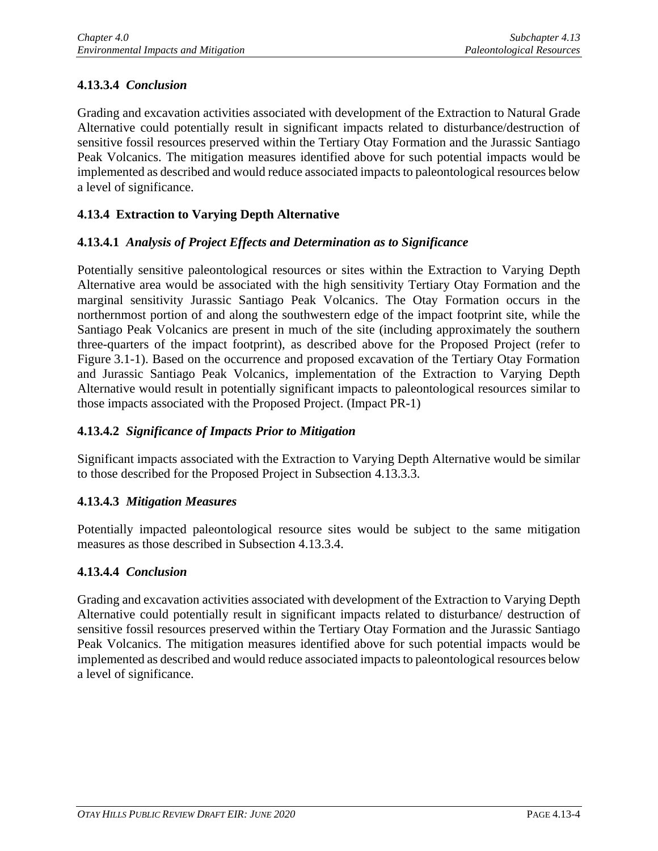# **4.13.3.4** *Conclusion*

Grading and excavation activities associated with development of the Extraction to Natural Grade Alternative could potentially result in significant impacts related to disturbance/destruction of sensitive fossil resources preserved within the Tertiary Otay Formation and the Jurassic Santiago Peak Volcanics. The mitigation measures identified above for such potential impacts would be implemented as described and would reduce associated impacts to paleontological resources below a level of significance.

# **4.13.4 Extraction to Varying Depth Alternative**

## **4.13.4.1** *Analysis of Project Effects and Determination as to Significance*

Potentially sensitive paleontological resources or sites within the Extraction to Varying Depth Alternative area would be associated with the high sensitivity Tertiary Otay Formation and the marginal sensitivity Jurassic Santiago Peak Volcanics. The Otay Formation occurs in the northernmost portion of and along the southwestern edge of the impact footprint site, while the Santiago Peak Volcanics are present in much of the site (including approximately the southern three-quarters of the impact footprint), as described above for the Proposed Project (refer to Figure 3.1-1). Based on the occurrence and proposed excavation of the Tertiary Otay Formation and Jurassic Santiago Peak Volcanics, implementation of the Extraction to Varying Depth Alternative would result in potentially significant impacts to paleontological resources similar to those impacts associated with the Proposed Project. (Impact PR-1)

## **4.13.4.2** *Significance of Impacts Prior to Mitigation*

Significant impacts associated with the Extraction to Varying Depth Alternative would be similar to those described for the Proposed Project in Subsection 4.13.3.3.

## **4.13.4.3** *Mitigation Measures*

Potentially impacted paleontological resource sites would be subject to the same mitigation measures as those described in Subsection 4.13.3.4.

## **4.13.4.4** *Conclusion*

Grading and excavation activities associated with development of the Extraction to Varying Depth Alternative could potentially result in significant impacts related to disturbance/ destruction of sensitive fossil resources preserved within the Tertiary Otay Formation and the Jurassic Santiago Peak Volcanics. The mitigation measures identified above for such potential impacts would be implemented as described and would reduce associated impacts to paleontological resources below a level of significance.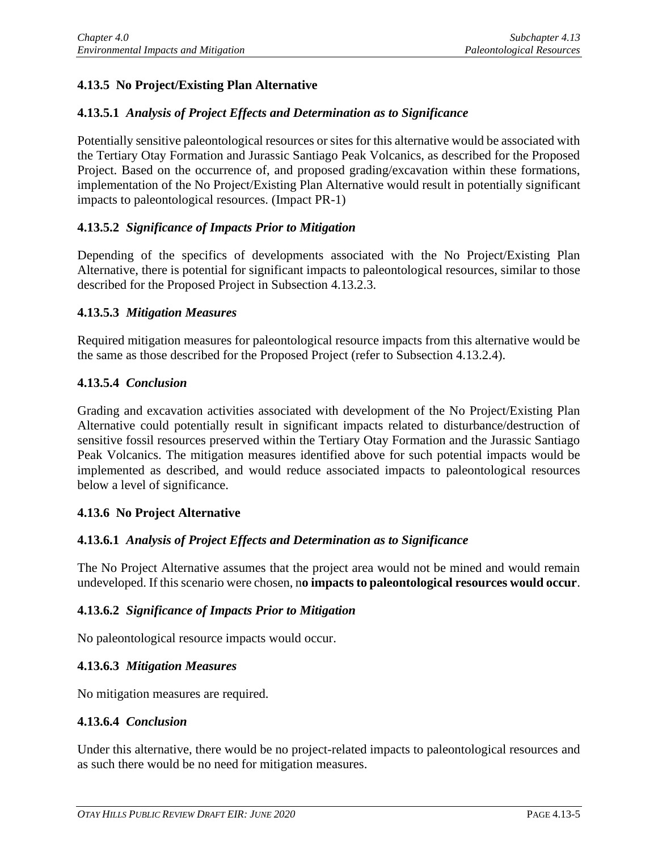# **4.13.5 No Project/Existing Plan Alternative**

## **4.13.5.1** *Analysis of Project Effects and Determination as to Significance*

Potentially sensitive paleontological resources or sites for this alternative would be associated with the Tertiary Otay Formation and Jurassic Santiago Peak Volcanics, as described for the Proposed Project. Based on the occurrence of, and proposed grading/excavation within these formations, implementation of the No Project/Existing Plan Alternative would result in potentially significant impacts to paleontological resources. (Impact PR-1)

#### **4.13.5.2** *Significance of Impacts Prior to Mitigation*

Depending of the specifics of developments associated with the No Project/Existing Plan Alternative, there is potential for significant impacts to paleontological resources, similar to those described for the Proposed Project in Subsection 4.13.2.3.

#### **4.13.5.3** *Mitigation Measures*

Required mitigation measures for paleontological resource impacts from this alternative would be the same as those described for the Proposed Project (refer to Subsection 4.13.2.4).

#### **4.13.5.4** *Conclusion*

Grading and excavation activities associated with development of the No Project/Existing Plan Alternative could potentially result in significant impacts related to disturbance/destruction of sensitive fossil resources preserved within the Tertiary Otay Formation and the Jurassic Santiago Peak Volcanics. The mitigation measures identified above for such potential impacts would be implemented as described, and would reduce associated impacts to paleontological resources below a level of significance.

#### **4.13.6 No Project Alternative**

#### **4.13.6.1** *Analysis of Project Effects and Determination as to Significance*

The No Project Alternative assumes that the project area would not be mined and would remain undeveloped. If this scenario were chosen, n**o impacts to paleontological resources would occur**.

#### **4.13.6.2** *Significance of Impacts Prior to Mitigation*

No paleontological resource impacts would occur.

#### **4.13.6.3** *Mitigation Measures*

No mitigation measures are required.

#### **4.13.6.4** *Conclusion*

Under this alternative, there would be no project-related impacts to paleontological resources and as such there would be no need for mitigation measures.